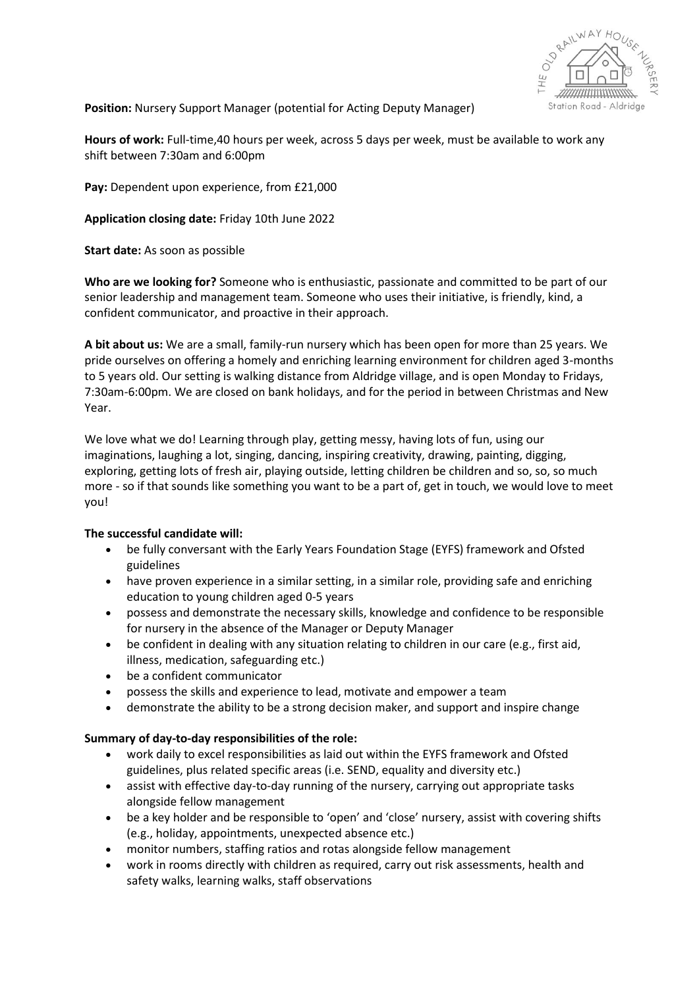

**Position:** Nursery Support Manager (potential for Acting Deputy Manager)

**Hours of work:** Full-time,40 hours per week, across 5 days per week, must be available to work any shift between 7:30am and 6:00pm

**Pay:** Dependent upon experience, from £21,000

**Application closing date:** Friday 10th June 2022

**Start date:** As soon as possible

**Who are we looking for?** Someone who is enthusiastic, passionate and committed to be part of our senior leadership and management team. Someone who uses their initiative, is friendly, kind, a confident communicator, and proactive in their approach.

**A bit about us:** We are a small, family-run nursery which has been open for more than 25 years. We pride ourselves on offering a homely and enriching learning environment for children aged 3-months to 5 years old. Our setting is walking distance from Aldridge village, and is open Monday to Fridays, 7:30am-6:00pm. We are closed on bank holidays, and for the period in between Christmas and New Year.

We love what we do! Learning through play, getting messy, having lots of fun, using our imaginations, laughing a lot, singing, dancing, inspiring creativity, drawing, painting, digging, exploring, getting lots of fresh air, playing outside, letting children be children and so, so, so much more - so if that sounds like something you want to be a part of, get in touch, we would love to meet you!

## **The successful candidate will:**

- be fully conversant with the Early Years Foundation Stage (EYFS) framework and Ofsted guidelines
- have proven experience in a similar setting, in a similar role, providing safe and enriching education to young children aged 0-5 years
- possess and demonstrate the necessary skills, knowledge and confidence to be responsible for nursery in the absence of the Manager or Deputy Manager
- be confident in dealing with any situation relating to children in our care (e.g., first aid, illness, medication, safeguarding etc.)
- be a confident communicator
- possess the skills and experience to lead, motivate and empower a team
- demonstrate the ability to be a strong decision maker, and support and inspire change

## **Summary of day-to-day responsibilities of the role:**

- work daily to excel responsibilities as laid out within the EYFS framework and Ofsted guidelines, plus related specific areas (i.e. SEND, equality and diversity etc.)
- assist with effective day-to-day running of the nursery, carrying out appropriate tasks alongside fellow management
- be a key holder and be responsible to 'open' and 'close' nursery, assist with covering shifts (e.g., holiday, appointments, unexpected absence etc.)
- monitor numbers, staffing ratios and rotas alongside fellow management
- work in rooms directly with children as required, carry out risk assessments, health and safety walks, learning walks, staff observations